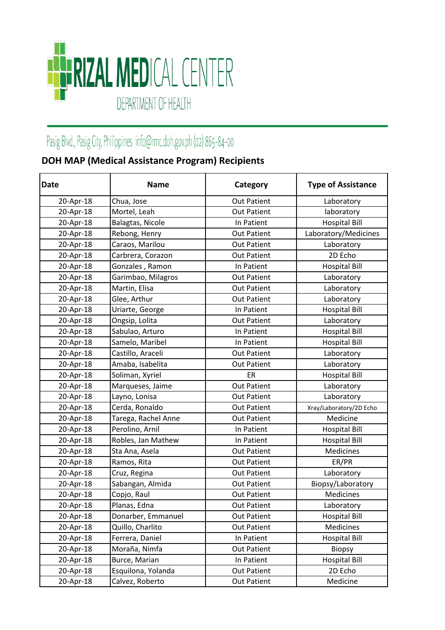

## Pasig Blvd., Pasig City, Philippines info@rmc.doh.gov.ph (02) 865-84-00

## **DOH MAP (Medical Assistance Program) Recipients**

| <b>Date</b> | <b>Name</b>         | Category           | <b>Type of Assistance</b> |
|-------------|---------------------|--------------------|---------------------------|
| 20-Apr-18   | Chua, Jose          | <b>Out Patient</b> | Laboratory                |
| 20-Apr-18   | Mortel, Leah        | <b>Out Patient</b> | laboratory                |
| 20-Apr-18   | Balagtas, Nicole    | In Patient         | <b>Hospital Bill</b>      |
| 20-Apr-18   | Rebong, Henry       | <b>Out Patient</b> | Laboratory/Medicines      |
| 20-Apr-18   | Caraos, Marilou     | <b>Out Patient</b> | Laboratory                |
| 20-Apr-18   | Carbrera, Corazon   | <b>Out Patient</b> | 2D Echo                   |
| 20-Apr-18   | Gonzales, Ramon     | In Patient         | <b>Hospital Bill</b>      |
| 20-Apr-18   | Garimbao, Milagros  | <b>Out Patient</b> | Laboratory                |
| 20-Apr-18   | Martin, Elisa       | <b>Out Patient</b> | Laboratory                |
| 20-Apr-18   | Glee, Arthur        | <b>Out Patient</b> | Laboratory                |
| 20-Apr-18   | Uriarte, George     | In Patient         | <b>Hospital Bill</b>      |
| 20-Apr-18   | Ongsip, Lolita      | <b>Out Patient</b> | Laboratory                |
| 20-Apr-18   | Sabulao, Arturo     | In Patient         | <b>Hospital Bill</b>      |
| 20-Apr-18   | Samelo, Maribel     | In Patient         | <b>Hospital Bill</b>      |
| 20-Apr-18   | Castillo, Araceli   | <b>Out Patient</b> | Laboratory                |
| 20-Apr-18   | Amaba, Isabelita    | <b>Out Patient</b> | Laboratory                |
| 20-Apr-18   | Soliman, Xyriel     | ER                 | <b>Hospital Bill</b>      |
| 20-Apr-18   | Marqueses, Jaime    | <b>Out Patient</b> | Laboratory                |
| 20-Apr-18   | Layno, Lonisa       | <b>Out Patient</b> | Laboratory                |
| 20-Apr-18   | Cerda, Ronaldo      | <b>Out Patient</b> | Xray/Laboratory/2D Echo   |
| 20-Apr-18   | Tarega, Rachel Anne | <b>Out Patient</b> | Medicine                  |
| 20-Apr-18   | Perolino, Arnil     | In Patient         | <b>Hospital Bill</b>      |
| 20-Apr-18   | Robles, Jan Mathew  | In Patient         | <b>Hospital Bill</b>      |
| 20-Apr-18   | Sta Ana, Asela      | <b>Out Patient</b> | Medicines                 |
| 20-Apr-18   | Ramos, Rita         | <b>Out Patient</b> | ER/PR                     |
| 20-Apr-18   | Cruz, Regina        | <b>Out Patient</b> | Laboratory                |
| 20-Apr-18   | Sabangan, Almida    | <b>Out Patient</b> | Biopsy/Laboratory         |
| 20-Apr-18   | Copjo, Raul         | <b>Out Patient</b> | Medicines                 |
| 20-Apr-18   | Planas, Edna        | <b>Out Patient</b> | Laboratory                |
| 20-Apr-18   | Donarber, Emmanuel  | <b>Out Patient</b> | <b>Hospital Bill</b>      |
| 20-Apr-18   | Quillo, Charlito    | <b>Out Patient</b> | Medicines                 |
| 20-Apr-18   | Ferrera, Daniel     | In Patient         | <b>Hospital Bill</b>      |
| 20-Apr-18   | Moraña, Nimfa       | <b>Out Patient</b> | <b>Biopsy</b>             |
| 20-Apr-18   | Burce, Marian       | In Patient         | <b>Hospital Bill</b>      |
| 20-Apr-18   | Esquilona, Yolanda  | <b>Out Patient</b> | 2D Echo                   |
| 20-Apr-18   | Calvez, Roberto     | <b>Out Patient</b> | Medicine                  |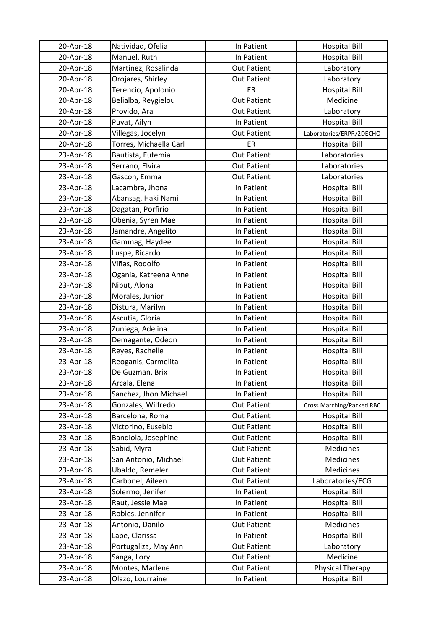| 20-Apr-18 | Natividad, Ofelia      | In Patient         | <b>Hospital Bill</b>             |
|-----------|------------------------|--------------------|----------------------------------|
| 20-Apr-18 | Manuel, Ruth           | In Patient         | <b>Hospital Bill</b>             |
| 20-Apr-18 | Martinez, Rosalinda    | <b>Out Patient</b> | Laboratory                       |
| 20-Apr-18 | Orojares, Shirley      | <b>Out Patient</b> | Laboratory                       |
| 20-Apr-18 | Terencio, Apolonio     | ER                 | <b>Hospital Bill</b>             |
| 20-Apr-18 | Belialba, Reygielou    | <b>Out Patient</b> | Medicine                         |
| 20-Apr-18 | Provido, Ara           | <b>Out Patient</b> | Laboratory                       |
| 20-Apr-18 | Puyat, Ailyn           | In Patient         | <b>Hospital Bill</b>             |
| 20-Apr-18 | Villegas, Jocelyn      | <b>Out Patient</b> | Laboratories/ERPR/2DECHO         |
| 20-Apr-18 | Torres, Michaella Carl | ER                 | <b>Hospital Bill</b>             |
| 23-Apr-18 | Bautista, Eufemia      | <b>Out Patient</b> | Laboratories                     |
| 23-Apr-18 | Serrano, Elvira        | <b>Out Patient</b> | Laboratories                     |
| 23-Apr-18 | Gascon, Emma           | <b>Out Patient</b> | Laboratories                     |
| 23-Apr-18 | Lacambra, Jhona        | In Patient         | <b>Hospital Bill</b>             |
| 23-Apr-18 | Abansag, Haki Nami     | In Patient         | <b>Hospital Bill</b>             |
| 23-Apr-18 | Dagatan, Porfirio      | In Patient         | <b>Hospital Bill</b>             |
| 23-Apr-18 | Obenia, Syren Mae      | In Patient         | <b>Hospital Bill</b>             |
| 23-Apr-18 | Jamandre, Angelito     | In Patient         | <b>Hospital Bill</b>             |
| 23-Apr-18 | Gammag, Haydee         | In Patient         | <b>Hospital Bill</b>             |
| 23-Apr-18 | Luspe, Ricardo         | In Patient         | <b>Hospital Bill</b>             |
| 23-Apr-18 | Viñas, Rodolfo         | In Patient         | <b>Hospital Bill</b>             |
| 23-Apr-18 | Ogania, Katreena Anne  | In Patient         | <b>Hospital Bill</b>             |
| 23-Apr-18 | Nibut, Alona           | In Patient         | <b>Hospital Bill</b>             |
| 23-Apr-18 | Morales, Junior        | In Patient         | <b>Hospital Bill</b>             |
| 23-Apr-18 | Distura, Marilyn       | In Patient         | <b>Hospital Bill</b>             |
| 23-Apr-18 | Ascutia, Gloria        | In Patient         | <b>Hospital Bill</b>             |
| 23-Apr-18 | Zuniega, Adelina       | In Patient         | <b>Hospital Bill</b>             |
| 23-Apr-18 | Demagante, Odeon       | In Patient         | <b>Hospital Bill</b>             |
| 23-Apr-18 | Reyes, Rachelle        | In Patient         | <b>Hospital Bill</b>             |
| 23-Apr-18 | Reoganis, Carmelita    | In Patient         | <b>Hospital Bill</b>             |
| 23-Apr-18 | De Guzman, Brix        | In Patient         | <b>Hospital Bill</b>             |
| 23-Apr-18 | Arcala, Elena          | In Patient         | <b>Hospital Bill</b>             |
| 23-Apr-18 | Sanchez, Jhon Michael  | In Patient         | <b>Hospital Bill</b>             |
| 23-Apr-18 | Gonzales, Wilfredo     | <b>Out Patient</b> | <b>Cross Marching/Packed RBC</b> |
| 23-Apr-18 | Barcelona, Roma        | <b>Out Patient</b> | <b>Hospital Bill</b>             |
| 23-Apr-18 | Victorino, Eusebio     | <b>Out Patient</b> | <b>Hospital Bill</b>             |
| 23-Apr-18 | Bandiola, Josephine    | <b>Out Patient</b> | <b>Hospital Bill</b>             |
| 23-Apr-18 | Sabid, Myra            | <b>Out Patient</b> | Medicines                        |
| 23-Apr-18 | San Antonio, Michael   | <b>Out Patient</b> | Medicines                        |
| 23-Apr-18 | Ubaldo, Remeler        | <b>Out Patient</b> | Medicines                        |
| 23-Apr-18 | Carbonel, Aileen       | <b>Out Patient</b> | Laboratories/ECG                 |
| 23-Apr-18 | Solermo, Jenifer       | In Patient         | <b>Hospital Bill</b>             |
| 23-Apr-18 | Raut, Jessie Mae       | In Patient         | <b>Hospital Bill</b>             |
| 23-Apr-18 | Robles, Jennifer       | In Patient         | <b>Hospital Bill</b>             |
| 23-Apr-18 | Antonio, Danilo        | <b>Out Patient</b> | Medicines                        |
| 23-Apr-18 | Lape, Clarissa         | In Patient         | <b>Hospital Bill</b>             |
| 23-Apr-18 | Portugaliza, May Ann   | <b>Out Patient</b> | Laboratory                       |
| 23-Apr-18 | Sanga, Lory            | <b>Out Patient</b> | Medicine                         |
| 23-Apr-18 | Montes, Marlene        | <b>Out Patient</b> | Physical Therapy                 |
| 23-Apr-18 | Olazo, Lourraine       | In Patient         | <b>Hospital Bill</b>             |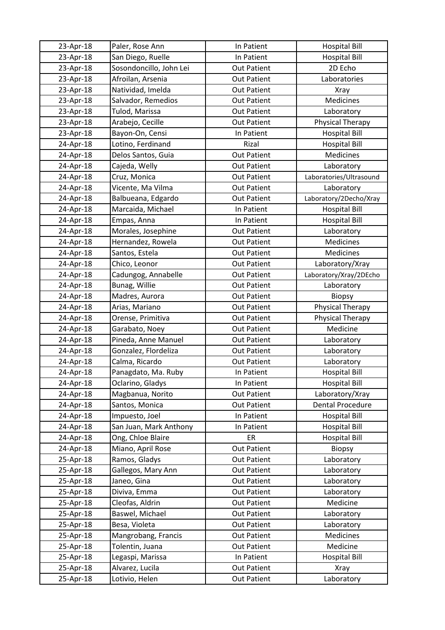| 23-Apr-18 | Paler, Rose Ann         | In Patient         | <b>Hospital Bill</b>    |
|-----------|-------------------------|--------------------|-------------------------|
| 23-Apr-18 | San Diego, Ruelle       | In Patient         | <b>Hospital Bill</b>    |
| 23-Apr-18 | Sosondoncillo, John Lei | <b>Out Patient</b> | 2D Echo                 |
| 23-Apr-18 | Afroilan, Arsenia       | <b>Out Patient</b> | Laboratories            |
| 23-Apr-18 | Natividad, Imelda       | <b>Out Patient</b> | <b>Xray</b>             |
| 23-Apr-18 | Salvador, Remedios      | <b>Out Patient</b> | Medicines               |
| 23-Apr-18 | Tulod, Marissa          | <b>Out Patient</b> | Laboratory              |
| 23-Apr-18 | Arabejo, Cecille        | <b>Out Patient</b> | Physical Therapy        |
| 23-Apr-18 | Bayon-On, Censi         | In Patient         | <b>Hospital Bill</b>    |
| 24-Apr-18 | Lotino, Ferdinand       | Rizal              | <b>Hospital Bill</b>    |
| 24-Apr-18 | Delos Santos, Guia      | <b>Out Patient</b> | Medicines               |
| 24-Apr-18 | Cajeda, Welly           | <b>Out Patient</b> | Laboratory              |
| 24-Apr-18 | Cruz, Monica            | <b>Out Patient</b> | Laboratories/Ultrasound |
| 24-Apr-18 | Vicente, Ma Vilma       | <b>Out Patient</b> | Laboratory              |
| 24-Apr-18 | Balbueana, Edgardo      | <b>Out Patient</b> | Laboratory/2Decho/Xray  |
| 24-Apr-18 | Marcaida, Michael       | In Patient         | <b>Hospital Bill</b>    |
| 24-Apr-18 | Empas, Anna             | In Patient         | <b>Hospital Bill</b>    |
| 24-Apr-18 | Morales, Josephine      | <b>Out Patient</b> | Laboratory              |
| 24-Apr-18 | Hernandez, Rowela       | <b>Out Patient</b> | Medicines               |
| 24-Apr-18 | Santos, Estela          | <b>Out Patient</b> | Medicines               |
| 24-Apr-18 | Chico, Leonor           | <b>Out Patient</b> | Laboratory/Xray         |
| 24-Apr-18 | Cadungog, Annabelle     | <b>Out Patient</b> | Laboratory/Xray/2DEcho  |
| 24-Apr-18 | Bunag, Willie           | <b>Out Patient</b> | Laboratory              |
| 24-Apr-18 | Madres, Aurora          | <b>Out Patient</b> | <b>Biopsy</b>           |
| 24-Apr-18 | Arias, Mariano          | <b>Out Patient</b> | Physical Therapy        |
| 24-Apr-18 | Orense, Primitiva       | <b>Out Patient</b> | Physical Therapy        |
| 24-Apr-18 | Garabato, Noey          | <b>Out Patient</b> | Medicine                |
| 24-Apr-18 | Pineda, Anne Manuel     | <b>Out Patient</b> | Laboratory              |
| 24-Apr-18 | Gonzalez, Flordeliza    | <b>Out Patient</b> | Laboratory              |
| 24-Apr-18 | Calma, Ricardo          | <b>Out Patient</b> | Laboratory              |
| 24-Apr-18 | Panagdato, Ma. Ruby     | In Patient         | <b>Hospital Bill</b>    |
| 24-Apr-18 | Oclarino, Gladys        | In Patient         | <b>Hospital Bill</b>    |
| 24-Apr-18 | Magbanua, Norito        | <b>Out Patient</b> | Laboratory/Xray         |
| 24-Apr-18 | Santos, Monica          | <b>Out Patient</b> | <b>Dental Procedure</b> |
| 24-Apr-18 | Impuesto, Joel          | In Patient         | <b>Hospital Bill</b>    |
| 24-Apr-18 | San Juan, Mark Anthony  | In Patient         | <b>Hospital Bill</b>    |
| 24-Apr-18 | Ong, Chloe Blaire       | ER                 | <b>Hospital Bill</b>    |
| 24-Apr-18 | Miano, April Rose       | <b>Out Patient</b> | <b>Biopsy</b>           |
| 25-Apr-18 | Ramos, Gladys           | <b>Out Patient</b> | Laboratory              |
| 25-Apr-18 | Gallegos, Mary Ann      | <b>Out Patient</b> | Laboratory              |
| 25-Apr-18 | Janeo, Gina             | <b>Out Patient</b> | Laboratory              |
| 25-Apr-18 | Diviva, Emma            | <b>Out Patient</b> | Laboratory              |
| 25-Apr-18 | Cleofas, Aldrin         | <b>Out Patient</b> | Medicine                |
| 25-Apr-18 | Baswel, Michael         | <b>Out Patient</b> | Laboratory              |
| 25-Apr-18 | Besa, Violeta           | <b>Out Patient</b> | Laboratory              |
| 25-Apr-18 | Mangrobang, Francis     | <b>Out Patient</b> | Medicines               |
| 25-Apr-18 | Tolentin, Juana         | <b>Out Patient</b> | Medicine                |
| 25-Apr-18 | Legaspi, Marissa        | In Patient         | <b>Hospital Bill</b>    |
| 25-Apr-18 | Alvarez, Lucila         | <b>Out Patient</b> | <b>Xray</b>             |
| 25-Apr-18 | Lotivio, Helen          | <b>Out Patient</b> | Laboratory              |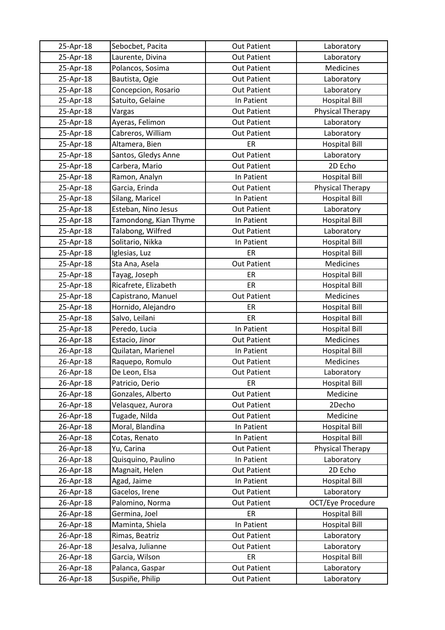| 25-Apr-18 | Sebocbet, Pacita      | <b>Out Patient</b> | Laboratory              |
|-----------|-----------------------|--------------------|-------------------------|
| 25-Apr-18 | Laurente, Divina      | <b>Out Patient</b> | Laboratory              |
| 25-Apr-18 | Polancos, Sosima      | <b>Out Patient</b> | Medicines               |
| 25-Apr-18 | Bautista, Ogie        | <b>Out Patient</b> | Laboratory              |
| 25-Apr-18 | Concepcion, Rosario   | <b>Out Patient</b> | Laboratory              |
| 25-Apr-18 | Satuito, Gelaine      | In Patient         | <b>Hospital Bill</b>    |
| 25-Apr-18 | Vargas                | <b>Out Patient</b> | Physical Therapy        |
| 25-Apr-18 | Ayeras, Felimon       | <b>Out Patient</b> | Laboratory              |
| 25-Apr-18 | Cabreros, William     | <b>Out Patient</b> | Laboratory              |
| 25-Apr-18 | Altamera, Bien        | ER                 | <b>Hospital Bill</b>    |
| 25-Apr-18 | Santos, Gledys Anne   | <b>Out Patient</b> | Laboratory              |
| 25-Apr-18 | Carbera, Mario        | <b>Out Patient</b> | 2D Echo                 |
| 25-Apr-18 | Ramon, Analyn         | In Patient         | <b>Hospital Bill</b>    |
| 25-Apr-18 | Garcia, Erinda        | <b>Out Patient</b> | Physical Therapy        |
| 25-Apr-18 | Silang, Maricel       | In Patient         | <b>Hospital Bill</b>    |
| 25-Apr-18 | Esteban, Nino Jesus   | <b>Out Patient</b> | Laboratory              |
| 25-Apr-18 | Tamondong, Kian Thyme | In Patient         | <b>Hospital Bill</b>    |
| 25-Apr-18 | Talabong, Wilfred     | <b>Out Patient</b> | Laboratory              |
| 25-Apr-18 | Solitario, Nikka      | In Patient         | <b>Hospital Bill</b>    |
| 25-Apr-18 | Iglesias, Luz         | ER                 | <b>Hospital Bill</b>    |
| 25-Apr-18 | Sta Ana, Asela        | <b>Out Patient</b> | Medicines               |
| 25-Apr-18 | Tayag, Joseph         | ER                 | <b>Hospital Bill</b>    |
| 25-Apr-18 | Ricafrete, Elizabeth  | ER                 | <b>Hospital Bill</b>    |
| 25-Apr-18 | Capistrano, Manuel    | <b>Out Patient</b> | Medicines               |
| 25-Apr-18 | Hornido, Alejandro    | ER                 | <b>Hospital Bill</b>    |
| 25-Apr-18 | Salvo, Leilani        | ER                 | <b>Hospital Bill</b>    |
| 25-Apr-18 | Peredo, Lucia         | In Patient         | <b>Hospital Bill</b>    |
| 26-Apr-18 | Estacio, Jinor        | <b>Out Patient</b> | Medicines               |
| 26-Apr-18 | Quilatan, Marienel    | In Patient         | <b>Hospital Bill</b>    |
| 26-Apr-18 | Raquepo, Romulo       | <b>Out Patient</b> | Medicines               |
| 26-Apr-18 | De Leon, Elsa         | <b>Out Patient</b> | Laboratory              |
| 26-Apr-18 | Patricio, Derio       | ER                 | <b>Hospital Bill</b>    |
| 26-Apr-18 | Gonzales, Alberto     | <b>Out Patient</b> | Medicine                |
| 26-Apr-18 | Velasquez, Aurora     | <b>Out Patient</b> | 2Decho                  |
| 26-Apr-18 | Tugade, Nilda         | <b>Out Patient</b> | Medicine                |
| 26-Apr-18 | Moral, Blandina       | In Patient         | <b>Hospital Bill</b>    |
| 26-Apr-18 | Cotas, Renato         | In Patient         | <b>Hospital Bill</b>    |
| 26-Apr-18 | Yu, Carina            | <b>Out Patient</b> | <b>Physical Therapy</b> |
| 26-Apr-18 | Quisquino, Paulino    | In Patient         | Laboratory              |
| 26-Apr-18 | Magnait, Helen        | <b>Out Patient</b> | 2D Echo                 |
| 26-Apr-18 | Agad, Jaime           | In Patient         | <b>Hospital Bill</b>    |
| 26-Apr-18 | Gacelos, Irene        | <b>Out Patient</b> | Laboratory              |
| 26-Apr-18 | Palomino, Norma       | <b>Out Patient</b> | OCT/Eye Procedure       |
| 26-Apr-18 | Germina, Joel         | ER                 | <b>Hospital Bill</b>    |
| 26-Apr-18 | Maminta, Shiela       | In Patient         | <b>Hospital Bill</b>    |
| 26-Apr-18 | Rimas, Beatriz        | <b>Out Patient</b> | Laboratory              |
| 26-Apr-18 | Jesalva, Julianne     | <b>Out Patient</b> | Laboratory              |
| 26-Apr-18 | Garcia, Wilson        | ER                 | <b>Hospital Bill</b>    |
| 26-Apr-18 | Palanca, Gaspar       | <b>Out Patient</b> | Laboratory              |
| 26-Apr-18 | Suspiñe, Philip       | <b>Out Patient</b> | Laboratory              |